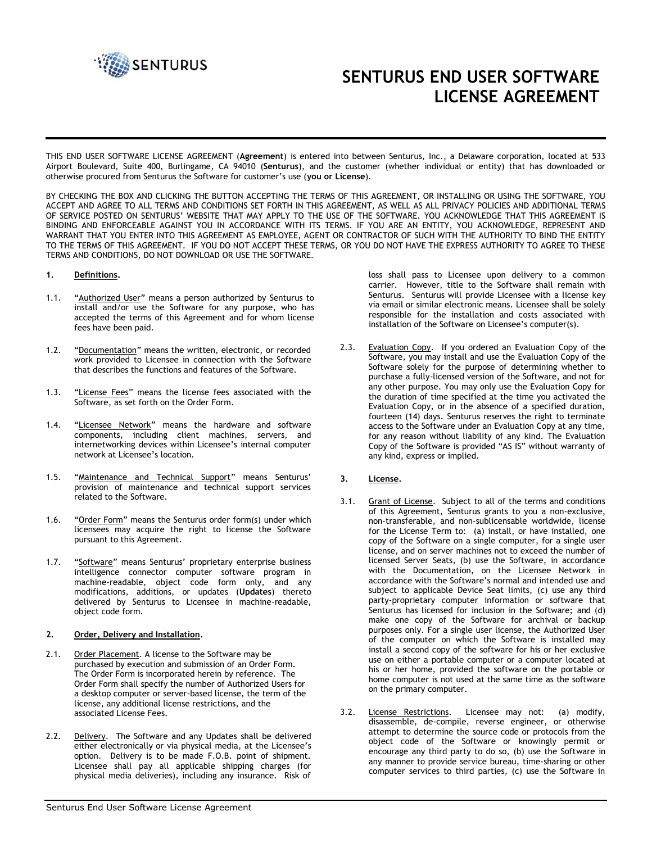

# **SENTURUS END USER SOFTWARE LICENSE AGREEMENT**

THIS END USER SOFTWARE LICENSE AGREEMENT (**Agreement**) is entered into between Senturus, Inc., a Delaware corporation, located at 533 Airport Boulevard, Suite 400, Burlingame, CA 94010 (**Senturus**), and the customer (whether individual or entity) that has downloaded or otherwise procured from Senturus the Software for customer's use (**you or License**).

BY CHECKING THE BOX AND CLICKING THE BUTTON ACCEPTING THE TERMS OF THIS AGREEMENT, OR INSTALLING OR USING THE SOFTWARE, YOU ACCEPT AND AGREE TO ALL TERMS AND CONDITIONS SET FORTH IN THIS AGREEMENT, AS WELL AS ALL PRIVACY POLICIES AND ADDITIONAL TERMS OF SERVICE POSTED ON SENTURUS' WEBSITE THAT MAY APPLY TO THE USE OF THE SOFTWARE. YOU ACKNOWLEDGE THAT THIS AGREEMENT IS BINDING AND ENFORCEABLE AGAINST YOU IN ACCORDANCE WITH ITS TERMS. IF YOU ARE AN ENTITY, YOU ACKNOWLEDGE, REPRESENT AND WARRANT THAT YOU ENTER INTO THIS AGREEMENT AS EMPLOYEE, AGENT OR CONTRACTOR OF SUCH WITH THE AUTHORITY TO BIND THE ENTITY TO THE TERMS OF THIS AGREEMENT. IF YOU DO NOT ACCEPT THESE TERMS, OR YOU DO NOT HAVE THE EXPRESS AUTHORITY TO AGREE TO THESE TERMS AND CONDITIONS, DO NOT DOWNLOAD OR USE THE SOFTWARE.

#### **1. Definitions.**

- 1.1. "Authorized User" means a person authorized by Senturus to install and/or use the Software for any purpose, who has accepted the terms of this Agreement and for whom license fees have been paid.
- 1.2. "Documentation" means the written, electronic, or recorded work provided to Licensee in connection with the Software that describes the functions and features of the Software.
- 1.3. "License Fees" means the license fees associated with the Software, as set forth on the Order Form.
- 1.4. "Licensee Network" means the hardware and software components, including client machines, servers, and internetworking devices within Licensee's internal computer network at Licensee's location.
- 1.5. "Maintenance and Technical Support" means Senturus' provision of maintenance and technical support services related to the Software.
- 1.6. "Order Form" means the Senturus order form(s) under which licensees may acquire the right to license the Software pursuant to this Agreement.
- 1.7. "Software" means Senturus' proprietary enterprise business intelligence connector computer software program in machine-readable, object code form only, and any modifications, additions, or updates (**Updates**) thereto delivered by Senturus to Licensee in machine-readable, object code form.

#### **2. Order, Delivery and Installation.**

- 2.1. Order Placement. A license to the Software may be purchased by execution and submission of an Order Form. The Order Form is incorporated herein by reference. The Order Form shall specify the number of Authorized Users for a desktop computer or server-based license, the term of the license, any additional license restrictions, and the associated License Fees.
- 2.2. Delivery. The Software and any Updates shall be delivered either electronically or via physical media, at the Licensee's option. Delivery is to be made F.O.B. point of shipment. Licensee shall pay all applicable shipping charges (for physical media deliveries), including any insurance. Risk of

loss shall pass to Licensee upon delivery to a common carrier. However, title to the Software shall remain with Senturus. Senturus will provide Licensee with a license key via email or similar electronic means. Licensee shall be solely responsible for the installation and costs associated with installation of the Software on Licensee's computer(s).

2.3. Evaluation Copy. If you ordered an Evaluation Copy of the Software, you may install and use the Evaluation Copy of the Software solely for the purpose of determining whether to purchase a fully-licensed version of the Software, and not for any other purpose. You may only use the Evaluation Copy for the duration of time specified at the time you activated the Evaluation Copy, or in the absence of a specified duration, fourteen (14) days. Senturus reserves the right to terminate access to the Software under an Evaluation Copy at any time, for any reason without liability of any kind. The Evaluation Copy of the Software is provided "AS IS" without warranty of any kind, express or implied.

### **3. License.**

- 3.1. Grant of License. Subject to all of the terms and conditions of this Agreement, Senturus grants to you a non-exclusive, non-transferable, and non-sublicensable worldwide, license for the License Term to: (a) install, or have installed, one copy of the Software on a single computer, for a single user license, and on server machines not to exceed the number of licensed Server Seats, (b) use the Software, in accordance with the Documentation, on the Licensee Network in accordance with the Software's normal and intended use and subject to applicable Device Seat limits, (c) use any third party-proprietary computer information or software that Senturus has licensed for inclusion in the Software; and (d) make one copy of the Software for archival or backup purposes only. For a single user license, the Authorized User of the computer on which the Software is installed may install a second copy of the software for his or her exclusive use on either a portable computer or a computer located at his or her home, provided the software on the portable or home computer is not used at the same time as the software on the primary computer.
- 3.2. License Restrictions. Licensee may not: (a) modify, disassemble, de-compile, reverse engineer, or otherwise attempt to determine the source code or protocols from the object code of the Software or knowingly permit or encourage any third party to do so, (b) use the Software in any manner to provide service bureau, time-sharing or other computer services to third parties, (c) use the Software in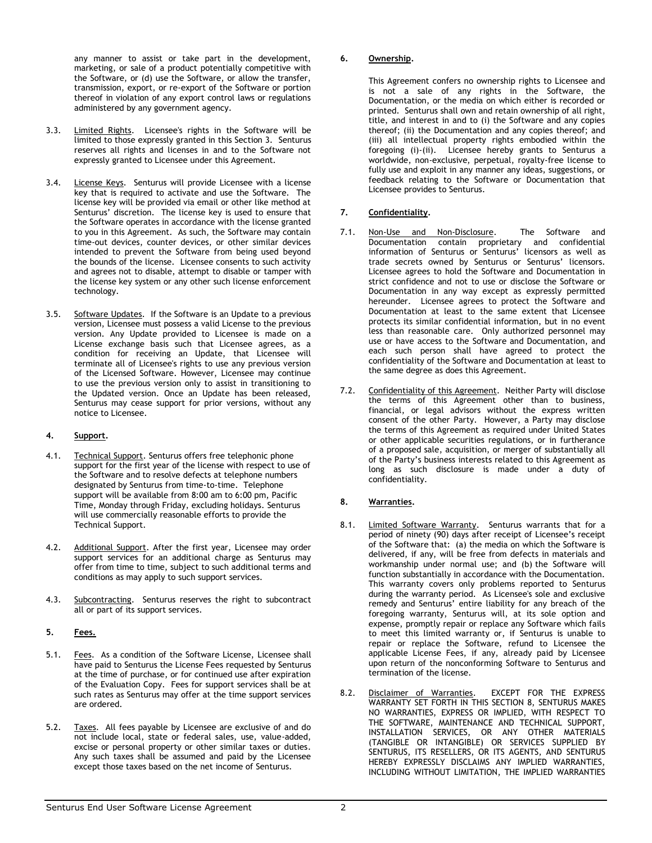any manner to assist or take part in the development, marketing, or sale of a product potentially competitive with the Software, or (d) use the Software, or allow the transfer, transmission, export, or re-export of the Software or portion thereof in violation of any export control laws or regulations administered by any government agency.

- 3.3. Limited Rights. Licensee's rights in the Software will be limited to those expressly granted in this Section 3. Senturus reserves all rights and licenses in and to the Software not expressly granted to Licensee under this Agreement.
- 3.4. License Keys. Senturus will provide Licensee with a license key that is required to activate and use the Software. The license key will be provided via email or other like method at Senturus' discretion. The license key is used to ensure that the Software operates in accordance with the license granted to you in this Agreement. As such, the Software may contain time-out devices, counter devices, or other similar devices intended to prevent the Software from being used beyond the bounds of the license. Licensee consents to such activity and agrees not to disable, attempt to disable or tamper with the license key system or any other such license enforcement technology.
- 3.5. Software Updates. If the Software is an Update to a previous version, Licensee must possess a valid License to the previous version. Any Update provided to Licensee is made on a License exchange basis such that Licensee agrees, as a condition for receiving an Update, that Licensee will terminate all of Licensee's rights to use any previous version of the Licensed Software. However, Licensee may continue to use the previous version only to assist in transitioning to the Updated version. Once an Update has been released, Senturus may cease support for prior versions, without any notice to Licensee.

# **4. Support.**

- 4.1. Technical Support. Senturus offers free telephonic phone support for the first year of the license with respect to use of the Software and to resolve defects at telephone numbers designated by Senturus from time-to-time. Telephone support will be available from 8:00 am to 6:00 pm, Pacific Time, Monday through Friday, excluding holidays. Senturus will use commercially reasonable efforts to provide the Technical Support.
- 4.2. Additional Support. After the first year, Licensee may order support services for an additional charge as Senturus may offer from time to time, subject to such additional terms and conditions as may apply to such support services.
- 4.3. Subcontracting. Senturus reserves the right to subcontract all or part of its support services.

# **5. Fees.**

- 5.1. Fees. As a condition of the Software License, Licensee shall have paid to Senturus the License Fees requested by Senturus at the time of purchase, or for continued use after expiration of the Evaluation Copy. Fees for support services shall be at such rates as Senturus may offer at the time support services are ordered.
- 5.2. Taxes. All fees payable by Licensee are exclusive of and do not include local, state or federal sales, use, value-added, excise or personal property or other similar taxes or duties. Any such taxes shall be assumed and paid by the Licensee except those taxes based on the net income of Senturus.

### **6. Ownership.**

This Agreement confers no ownership rights to Licensee and is not a sale of any rights in the Software, the Documentation, or the media on which either is recorded or printed. Senturus shall own and retain ownership of all right, title, and interest in and to (i) the Software and any copies thereof; (ii) the Documentation and any copies thereof; and (iii) all intellectual property rights embodied within the foregoing (i)-(ii). Licensee hereby grants to Senturus a worldwide, non-exclusive, perpetual, royalty-free license to fully use and exploit in any manner any ideas, suggestions, or feedback relating to the Software or Documentation that Licensee provides to Senturus.

## **7. Confidentiality.**

- 7.1. Non-Use and Non-Disclosure. The Software and Documentation contain proprietary and confidential information of Senturus or Senturus' licensors as well as trade secrets owned by Senturus or Senturus' licensors. Licensee agrees to hold the Software and Documentation in strict confidence and not to use or disclose the Software or Documentation in any way except as expressly permitted hereunder. Licensee agrees to protect the Software and Documentation at least to the same extent that Licensee protects its similar confidential information, but in no event less than reasonable care. Only authorized personnel may use or have access to the Software and Documentation, and each such person shall have agreed to protect the confidentiality of the Software and Documentation at least to the same degree as does this Agreement.
- 7.2. Confidentiality of this Agreement. Neither Party will disclose the terms of this Agreement other than to business, financial, or legal advisors without the express written consent of the other Party. However, a Party may disclose the terms of this Agreement as required under United States or other applicable securities regulations, or in furtherance of a proposed sale, acquisition, or merger of substantially all of the Party's business interests related to this Agreement as long as such disclosure is made under a duty of confidentiality.

# **8. Warranties.**

- 8.1. Limited Software Warranty. Senturus warrants that for a period of ninety (90) days after receipt of Licensee's receipt of the Software that: (a) the media on which the Software is delivered, if any, will be free from defects in materials and workmanship under normal use; and (b) the Software will function substantially in accordance with the Documentation. This warranty covers only problems reported to Senturus during the warranty period. As Licensee's sole and exclusive remedy and Senturus' entire liability for any breach of the foregoing warranty, Senturus will, at its sole option and expense, promptly repair or replace any Software which fails to meet this limited warranty or, if Senturus is unable to repair or replace the Software, refund to Licensee the applicable License Fees, if any, already paid by Licensee upon return of the nonconforming Software to Senturus and termination of the license.
- 8.2. Disclaimer of Warranties. EXCEPT FOR THE EXPRESS WARRANTY SET FORTH IN THIS SECTION 8, SENTURUS MAKES NO WARRANTIES, EXPRESS OR IMPLIED, WITH RESPECT TO THE SOFTWARE, MAINTENANCE AND TECHNICAL SUPPORT, INSTALLATION SERVICES, OR ANY OTHER MATERIALS (TANGIBLE OR INTANGIBLE) OR SERVICES SUPPLIED BY SENTURUS, ITS RESELLERS, OR ITS AGENTS, AND SENTURUS HEREBY EXPRESSLY DISCLAIMS ANY IMPLIED WARRANTIES, INCLUDING WITHOUT LIMITATION, THE IMPLIED WARRANTIES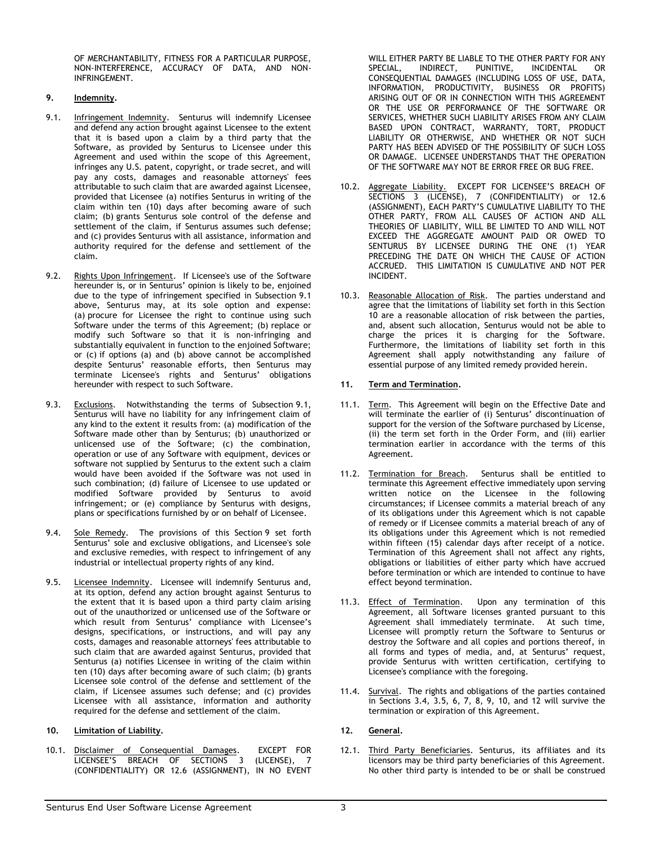OF MERCHANTABILITY, FITNESS FOR A PARTICULAR PURPOSE, NON-INTERFERENCE, ACCURACY OF DATA, AND NON-INFRINGEMENT.

## **9. Indemnity.**

- 9.1. Infringement Indemnity. Senturus will indemnify Licensee and defend any action brought against Licensee to the extent that it is based upon a claim by a third party that the Software, as provided by Senturus to Licensee under this Agreement and used within the scope of this Agreement, infringes any U.S. patent, copyright, or trade secret, and will pay any costs, damages and reasonable attorneys' fees attributable to such claim that are awarded against Licensee, provided that Licensee (a) notifies Senturus in writing of the claim within ten (10) days after becoming aware of such claim; (b) grants Senturus sole control of the defense and settlement of the claim, if Senturus assumes such defense; and (c) provides Senturus with all assistance, information and authority required for the defense and settlement of the claim.
- 9.2. Rights Upon Infringement. If Licensee's use of the Software hereunder is, or in Senturus' opinion is likely to be, enjoined due to the type of infringement specified in Subsection 9.1 above, Senturus may, at its sole option and expense: (a) procure for Licensee the right to continue using such Software under the terms of this Agreement; (b) replace or modify such Software so that it is non-infringing and substantially equivalent in function to the enjoined Software; or (c) if options (a) and (b) above cannot be accomplished despite Senturus' reasonable efforts, then Senturus may terminate Licensee's rights and Senturus' obligations hereunder with respect to such Software.
- 9.3. Exclusions. Notwithstanding the terms of Subsection 9.1, Senturus will have no liability for any infringement claim of any kind to the extent it results from: (a) modification of the Software made other than by Senturus; (b) unauthorized or unlicensed use of the Software; (c) the combination, operation or use of any Software with equipment, devices or software not supplied by Senturus to the extent such a claim would have been avoided if the Software was not used in such combination; (d) failure of Licensee to use updated or modified Software provided by Senturus to avoid infringement; or (e) compliance by Senturus with designs, plans or specifications furnished by or on behalf of Licensee.
- 9.4. Sole Remedy. The provisions of this Section 9 set forth Senturus' sole and exclusive obligations, and Licensee's sole and exclusive remedies, with respect to infringement of any industrial or intellectual property rights of any kind.
- 9.5. Licensee Indemnity. Licensee will indemnify Senturus and, at its option, defend any action brought against Senturus to the extent that it is based upon a third party claim arising out of the unauthorized or unlicensed use of the Software or which result from Senturus' compliance with Licensee's designs, specifications, or instructions, and will pay any costs, damages and reasonable attorneys' fees attributable to such claim that are awarded against Senturus, provided that Senturus (a) notifies Licensee in writing of the claim within ten (10) days after becoming aware of such claim; (b) grants Licensee sole control of the defense and settlement of the claim, if Licensee assumes such defense; and (c) provides Licensee with all assistance, information and authority required for the defense and settlement of the claim.

### **10. Limitation of Liability.**

10.1. Disclaimer of Consequential Damages. EXCEPT FOR LICENSEE'S BREACH OF SECTIONS 3 (LICENSE), 7 (CONFIDENTIALITY) OR 12.6 (ASSIGNMENT), IN NO EVENT WILL EITHER PARTY BE LIABLE TO THE OTHER PARTY FOR ANY SPECIAL, INDIRECT, PUNITIVE, INCIDENTAL OR CONSEQUENTIAL DAMAGES (INCLUDING LOSS OF USE, DATA, INFORMATION, PRODUCTIVITY, BUSINESS OR PROFITS) ARISING OUT OF OR IN CONNECTION WITH THIS AGREEMENT OR THE USE OR PERFORMANCE OF THE SOFTWARE OR SERVICES, WHETHER SUCH LIABILITY ARISES FROM ANY CLAIM BASED UPON CONTRACT, WARRANTY, TORT, PRODUCT LIABILITY OR OTHERWISE, AND WHETHER OR NOT SUCH PARTY HAS BEEN ADVISED OF THE POSSIBILITY OF SUCH LOSS OR DAMAGE. LICENSEE UNDERSTANDS THAT THE OPERATION OF THE SOFTWARE MAY NOT BE ERROR FREE OR BUG FREE.

- 10.2. Aggregate Liability. EXCEPT FOR LICENSEE'S BREACH OF SECTIONS 3 (LICENSE), 7 (CONFIDENTIALITY) or 12.6 (ASSIGNMENT), EACH PARTY'S CUMULATIVE LIABILITY TO THE OTHER PARTY, FROM ALL CAUSES OF ACTION AND ALL THEORIES OF LIABILITY, WILL BE LIMITED TO AND WILL NOT EXCEED THE AGGREGATE AMOUNT PAID OR OWED TO SENTURUS BY LICENSEE DURING THE ONE (1) YEAR PRECEDING THE DATE ON WHICH THE CAUSE OF ACTION ACCRUED. THIS LIMITATION IS CUMULATIVE AND NOT PER INCIDENT.
- 10.3. Reasonable Allocation of Risk. The parties understand and agree that the limitations of liability set forth in this Section 10 are a reasonable allocation of risk between the parties, and, absent such allocation, Senturus would not be able to charge the prices it is charging for the Software. Furthermore, the limitations of liability set forth in this Agreement shall apply notwithstanding any failure of essential purpose of any limited remedy provided herein.

## **11. Term and Termination.**

- 11.1. Term. This Agreement will begin on the Effective Date and will terminate the earlier of (i) Senturus' discontinuation of support for the version of the Software purchased by License, (ii) the term set forth in the Order Form, and (iii) earlier termination earlier in accordance with the terms of this Agreement.
- 11.2. Termination for Breach. Senturus shall be entitled to terminate this Agreement effective immediately upon serving written notice on the Licensee in the following circumstances; if Licensee commits a material breach of any of its obligations under this Agreement which is not capable of remedy or if Licensee commits a material breach of any of its obligations under this Agreement which is not remedied within fifteen (15) calendar days after receipt of a notice. Termination of this Agreement shall not affect any rights, obligations or liabilities of either party which have accrued before termination or which are intended to continue to have effect beyond termination.
- 11.3. Effect of Termination. Upon any termination of this Agreement, all Software licenses granted pursuant to this Agreement shall immediately terminate. At such time, Licensee will promptly return the Software to Senturus or destroy the Software and all copies and portions thereof, in all forms and types of media, and, at Senturus' request, provide Senturus with written certification, certifying to Licensee's compliance with the foregoing.
- 11.4. Survival. The rights and obligations of the parties contained in Sections 3.4, 3.5, 6, 7, 8, 9, 10, and 12 will survive the termination or expiration of this Agreement.

### **12. General.**

12.1. Third Party Beneficiaries. Senturus, its affiliates and its licensors may be third party beneficiaries of this Agreement. No other third party is intended to be or shall be construed